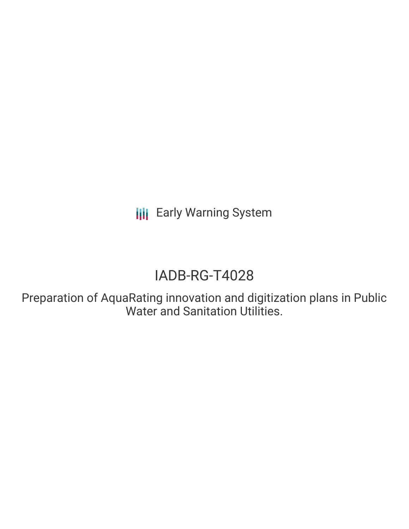# IADB-RG-T4028

Preparation of AquaRating innovation and digitization plans in Public Water and Sanitation Utilities.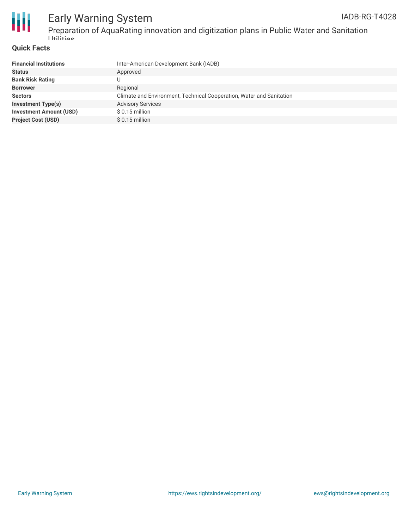



Preparation of AquaRating innovation and digitization plans in Public Water and Sanitation Utilities.

#### **Quick Facts**

| Inter-American Development Bank (IADB)                               |
|----------------------------------------------------------------------|
| Approved                                                             |
|                                                                      |
| Regional                                                             |
| Climate and Environment, Technical Cooperation, Water and Sanitation |
| <b>Advisory Services</b>                                             |
| $$0.15$ million                                                      |
| $$0.15$ million                                                      |
|                                                                      |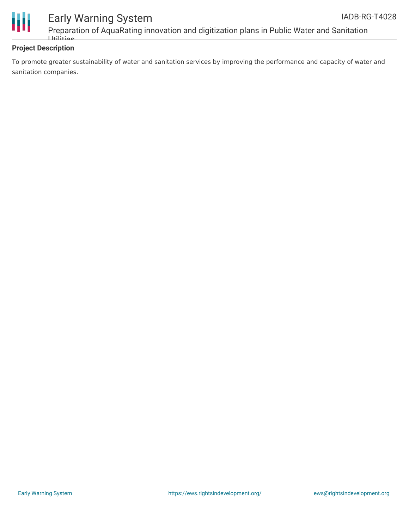

Preparation of AquaRating innovation and digitization plans in Public Water and Sanitation Utilities.

#### **Project Description**

To promote greater sustainability of water and sanitation services by improving the performance and capacity of water and sanitation companies.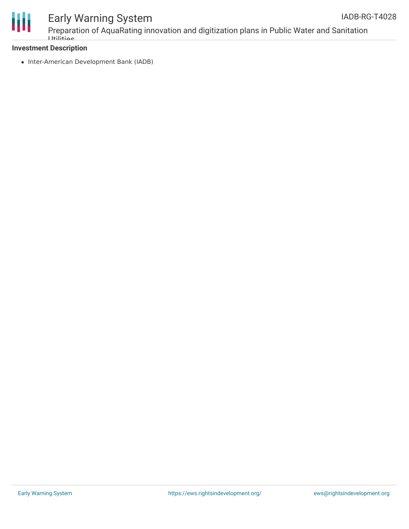



Preparation of AquaRating innovation and digitization plans in Public Water and Sanitation Utilities.

#### **Investment Description**

• Inter-American Development Bank (IADB)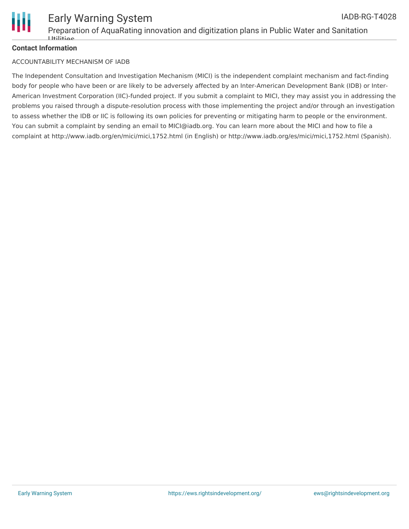

#### **Contact Information**

#### ACCOUNTABILITY MECHANISM OF IADB

The Independent Consultation and Investigation Mechanism (MICI) is the independent complaint mechanism and fact-finding body for people who have been or are likely to be adversely affected by an Inter-American Development Bank (IDB) or Inter-American Investment Corporation (IIC)-funded project. If you submit a complaint to MICI, they may assist you in addressing the problems you raised through a dispute-resolution process with those implementing the project and/or through an investigation to assess whether the IDB or IIC is following its own policies for preventing or mitigating harm to people or the environment. You can submit a complaint by sending an email to MICI@iadb.org. You can learn more about the MICI and how to file a complaint at http://www.iadb.org/en/mici/mici,1752.html (in English) or http://www.iadb.org/es/mici/mici,1752.html (Spanish).